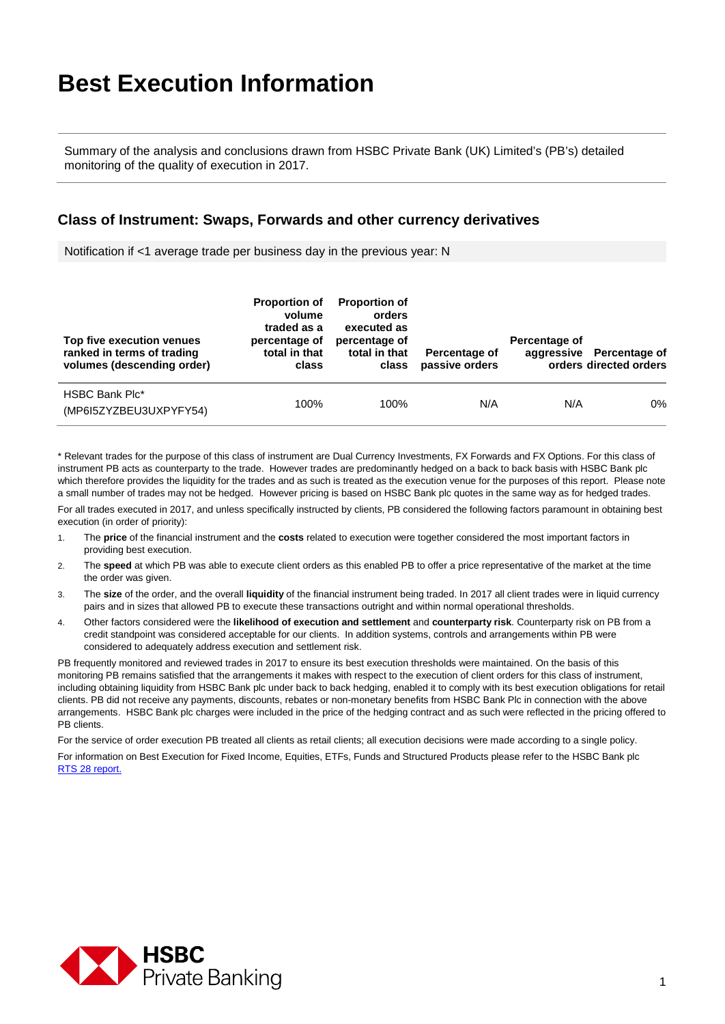## **Best Execution Information**

Summary of the analysis and conclusions drawn from HSBC Private Bank (UK) Limited's (PB's) detailed monitoring of the quality of execution in 2017.

## **Class of Instrument: Swaps, Forwards and other currency derivatives**

Notification if <1 average trade per business day in the previous year: N

| Top five execution venues<br>ranked in terms of trading<br>volumes (descending order) | <b>Proportion of</b><br>volume<br>traded as a<br>percentage of<br>total in that<br>class | <b>Proportion of</b><br>orders<br>executed as<br>percentage of<br>total in that<br>class | Percentage of<br>passive orders | Percentage of | aggressive Percentage of<br>orders directed orders |
|---------------------------------------------------------------------------------------|------------------------------------------------------------------------------------------|------------------------------------------------------------------------------------------|---------------------------------|---------------|----------------------------------------------------|
| <b>HSBC Bank Plc*</b><br>(MP6I5ZYZBEU3UXPYFY54)                                       | 100%                                                                                     | 100%                                                                                     | N/A                             | N/A           | 0%                                                 |

\* Relevant trades for the purpose of this class of instrument are Dual Currency Investments, FX Forwards and FX Options. For this class of instrument PB acts as counterparty to the trade. However trades are predominantly hedged on a back to back basis with HSBC Bank plc which therefore provides the liquidity for the trades and as such is treated as the execution venue for the purposes of this report. Please note a small number of trades may not be hedged. However pricing is based on HSBC Bank plc quotes in the same way as for hedged trades.

For all trades executed in 2017, and unless specifically instructed by clients, PB considered the following factors paramount in obtaining best execution (in order of priority):

- 1. The **price** of the financial instrument and the **costs** related to execution were together considered the most important factors in providing best execution.
- 2. The **speed** at which PB was able to execute client orders as this enabled PB to offer a price representative of the market at the time the order was given.
- 3. The **size** of the order, and the overall **liquidity** of the financial instrument being traded. In 2017 all client trades were in liquid currency pairs and in sizes that allowed PB to execute these transactions outright and within normal operational thresholds.
- 4. Other factors considered were the **likelihood of execution and settlement** and **counterparty risk**. Counterparty risk on PB from a credit standpoint was considered acceptable for our clients. In addition systems, controls and arrangements within PB were considered to adequately address execution and settlement risk.

PB frequently monitored and reviewed trades in 2017 to ensure its best execution thresholds were maintained. On the basis of this monitoring PB remains satisfied that the arrangements it makes with respect to the execution of client orders for this class of instrument, including obtaining liquidity from HSBC Bank plc under back to back hedging, enabled it to comply with its best execution obligations for retail clients. PB did not receive any payments, discounts, rebates or non-monetary benefits from HSBC Bank Plc in connection with the above arrangements. HSBC Bank plc charges were included in the price of the hedging contract and as such were reflected in the pricing offered to PB clients.

For the service of order execution PB treated all clients as retail clients; all execution decisions were made according to a single policy. For information on Best Execution for Fixed Income, Equities, ETFs, Funds and Structured Products please refer to the HSBC Bank pl[c](https://www.hsbcnet.com/gbm/bestexecution)  [RTS 28 report.](https://www.hsbcnet.com/gbm/bestexecution)